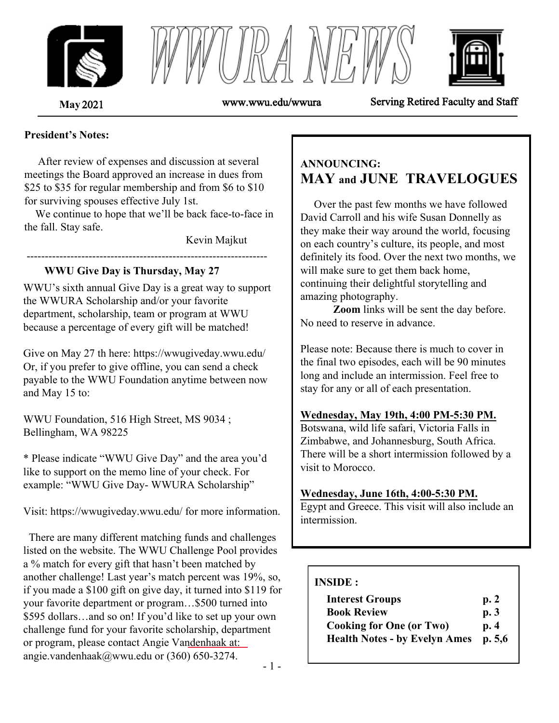





**May** 2021 www.wwu.edu/wwura Serving Retired Faculty and Staff

#### **President's Notes:**

 After review of expenses and discussion at several meetings the Board approved an increase in dues from \$25 to \$35 for regular membership and from \$6 to \$10 for surviving spouses effective July 1st.

 We continue to hope that we'll be back face-to-face in the fall. Stay safe.

------------------------------------------------------------------

Kevin Majkut

### **WWU Give Day is Thursday, May 27**

WWU's sixth annual Give Day is a great way to support the WWURA Scholarship and/or your favorite department, scholarship, team or program at WWU because a percentage of every gift will be matched!

Give on May 27 th here: https://wwugiveday.wwu.edu/ Or, if you prefer to give offline, you can send a check payable to the WWU Foundation anytime between now and May 15 to:

WWU Foundation, 516 High Street, MS 9034 ; Bellingham, WA 98225

\* Please indicate "WWU Give Day" and the area you'd like to support on the memo line of your check. For example: "WWU Give Day- WWURA Scholarship"

Visit: https://wwugiveday.wwu.edu/ for more information.

 There are many different matching funds and challenges listed on the website. The WWU Challenge Pool provides a % match for every gift that hasn't been matched by another challenge! Last year's match percent was 19%, so, if you made a \$100 gift on give day, it turned into \$119 for your favorite department or program…\$500 turned into \$595 dollars…and so on! If you'd like to set up your own challenge fund for your favorite scholarship, department or program, please contact Angie Vandenhaak at: angie.vandenhaak@wwu.edu or (360) 650-3274.

# **ANNOUNCING: MAY and JUNE TRAVELOGUES**

 Over the past few months we have followed David Carroll and his wife Susan Donnelly as they make their way around the world, focusing on each country's culture, its people, and most definitely its food. Over the next two months, we will make sure to get them back home, continuing their delightful storytelling and amazing photography.

 **Zoom** links will be sent the day before. No need to reserve in advance.

Please note: Because there is much to cover in the final two episodes, each will be 90 minutes long and include an intermission. Feel free to stay for any or all of each presentation.

### **Wednesday, May 19th, 4:00 PM-5:30 PM.**

Botswana, wild life safari, Victoria Falls in Zimbabwe, and Johannesburg, South Africa. There will be a short intermission followed by a visit to Morocco.

### **Wednesday, June 16th, 4:00-5:30 PM.**

Egypt and Greece. This visit will also include an intermission.

### **INSIDE :**

| <b>Interest Groups</b>               | p.2     |
|--------------------------------------|---------|
| <b>Book Review</b>                   | p.3     |
| <b>Cooking for One (or Two)</b>      | p.4     |
| <b>Health Notes - by Evelyn Ames</b> | p. 5, 6 |

- 1 -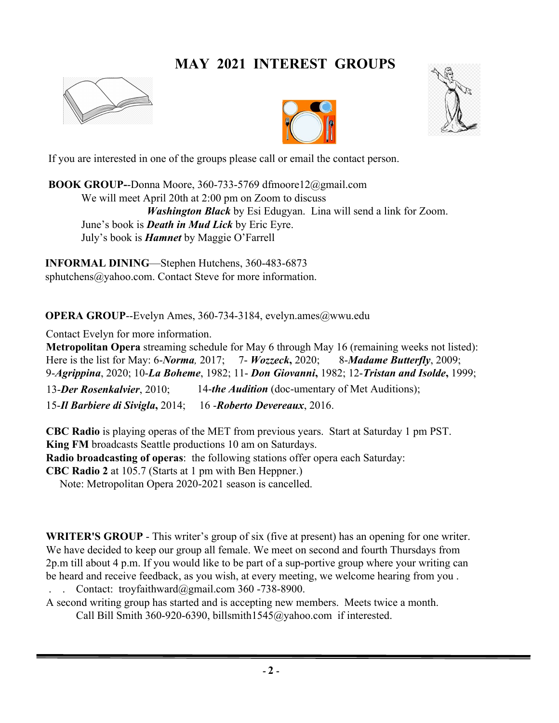# **MAY 2021 INTEREST GROUPS**







If you are interested in one of the groups please call or email the contact person.

**BOOK GROUP-**-Donna Moore, 360-733-5769 dfmoore12@gmail.com We will meet April 20th at 2:00 pm on Zoom to discuss *Washington Black* by Esi Edugyan. Lina will send a link for Zoom. June's book is *Death in Mud Lick* by Eric Eyre. July's book is *Hamnet* by Maggie O'Farrell

**INFORMAL DINING**—Stephen Hutchens, 360-483-6873 sphutchens@yahoo.com. Contact Steve for more information.

**OPERA GROUP--Evelyn Ames, 360-734-3184, evelyn.ames@wwu.edu** 

Contact Evelyn for more information.

**Metropolitan Opera** streaming schedule for May 6 through May 16 (remaining weeks not listed): Here is the list for May: 6-*Norma,* 2017; 7- *Wozzeck***,** 2020; 8-*Madame Butterfly*, 2009; 9-*Agrippina*, 2020; 10-*La Boheme*, 1982; 11- *Don Giovanni***,** 1982; 12-*Tristan and Isolde***,** 1999; 13-*Der Rosenkalvier*, 2010; 14-*the Audition* (doc-umentary of Met Auditions); 15-*Il Barbiere di Sivigla***,** 2014; 16 -*Roberto Devereaux*, 2016.

**CBC Radio** is playing operas of the MET from previous years. Start at Saturday 1 pm PST. **King FM** broadcasts Seattle productions 10 am on Saturdays. **Radio broadcasting of operas**: the following stations offer opera each Saturday: **CBC Radio 2** at 105.7 (Starts at 1 pm with Ben Heppner.)

Note: Metropolitan Opera 2020-2021 season is cancelled.

**WRITER'S GROUP** - This writer's group of six (five at present) has an opening for one writer. We have decided to keep our group all female. We meet on second and fourth Thursdays from 2p.m till about 4 p.m. If you would like to be part of a sup-portive group where your writing can be heard and receive feedback, as you wish, at every meeting, we welcome hearing from you .

. . Contact: troyfaithward@gmail.com 360 -738-8900.

A second writing group has started and is accepting new members. Meets twice a month. Call Bill Smith 360-920-6390, billsmith1545@yahoo.com if interested.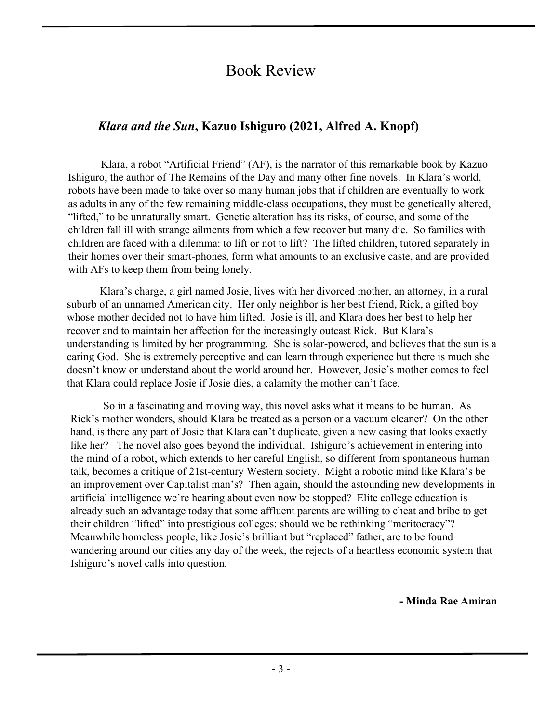# Book Review

# *Klara and the Sun***, Kazuo Ishiguro (2021, Alfred A. Knopf)**

Klara, a robot "Artificial Friend" (AF), is the narrator of this remarkable book by Kazuo Ishiguro, the author of The Remains of the Day and many other fine novels. In Klara's world, robots have been made to take over so many human jobs that if children are eventually to work as adults in any of the few remaining middle-class occupations, they must be genetically altered, "lifted," to be unnaturally smart. Genetic alteration has its risks, of course, and some of the children fall ill with strange ailments from which a few recover but many die. So families with children are faced with a dilemma: to lift or not to lift? The lifted children, tutored separately in their homes over their smart-phones, form what amounts to an exclusive caste, and are provided with AFs to keep them from being lonely.

Klara's charge, a girl named Josie, lives with her divorced mother, an attorney, in a rural suburb of an unnamed American city. Her only neighbor is her best friend, Rick, a gifted boy whose mother decided not to have him lifted. Josie is ill, and Klara does her best to help her recover and to maintain her affection for the increasingly outcast Rick. But Klara's understanding is limited by her programming. She is solar-powered, and believes that the sun is a caring God. She is extremely perceptive and can learn through experience but there is much she doesn't know or understand about the world around her. However, Josie's mother comes to feel that Klara could replace Josie if Josie dies, a calamity the mother can't face.

So in a fascinating and moving way, this novel asks what it means to be human. As Rick's mother wonders, should Klara be treated as a person or a vacuum cleaner? On the other hand, is there any part of Josie that Klara can't duplicate, given a new casing that looks exactly like her? The novel also goes beyond the individual. Ishiguro's achievement in entering into the mind of a robot, which extends to her careful English, so different from spontaneous human talk, becomes a critique of 21st-century Western society. Might a robotic mind like Klara's be an improvement over Capitalist man's? Then again, should the astounding new developments in artificial intelligence we're hearing about even now be stopped? Elite college education is already such an advantage today that some affluent parents are willing to cheat and bribe to get their children "lifted" into prestigious colleges: should we be rethinking "meritocracy"? Meanwhile homeless people, like Josie's brilliant but "replaced" father, are to be found wandering around our cities any day of the week, the rejects of a heartless economic system that Ishiguro's novel calls into question.

**- Minda Rae Amiran**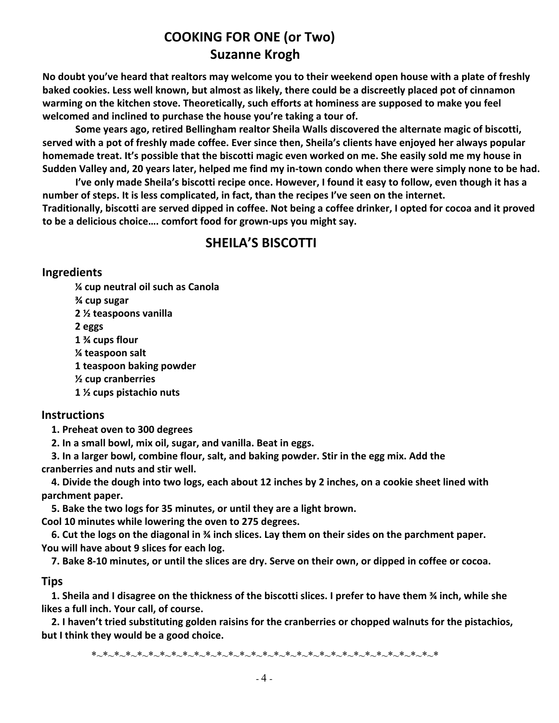# **COOKING FOR ONE (or Two) Suzanne Krogh**

**No doubt you've heard that realtors may welcome you to their weekend open house with a plate of freshly baked cookies. Less well known, but almost as likely, there could be a discreetly placed pot of cinnamon warming on the kitchen stove. Theoretically, such efforts at hominess are supposed to make you feel welcomed and inclined to purchase the house you're taking a tour of.**

**Some years ago, retired Bellingham realtor Sheila Walls discovered the alternate magic of biscotti, served with a pot of freshly made coffee. Ever since then, Sheila's clients have enjoyed her always popular homemade treat. It's possible that the biscotti magic even worked on me. She easily sold me my house in Sudden Valley and, 20 years later, helped me find my in-town condo when there were simply none to be had.** 

**I've only made Sheila's biscotti recipe once. However, I found it easy to follow, even though it has a number of steps. It is less complicated, in fact, than the recipes I've seen on the internet.** 

**Traditionally, biscotti are served dipped in coffee. Not being a coffee drinker, I opted for cocoa and it proved to be a delicious choice…. comfort food for grown-ups you might say.**

# **SHEILA'S BISCOTTI**

#### **Ingredients**

**¼ cup neutral oil such as Canola ¾ cup sugar 2 ½ teaspoons vanilla 2 eggs 1 ¾ cups flour ¼ teaspoon salt 1 teaspoon baking powder ½ cup cranberries 1 ½ cups pistachio nuts**

### **Instructions**

**1. Preheat oven to 300 degrees**

**2. In a small bowl, mix oil, sugar, and vanilla. Beat in eggs.**

**3. In a larger bowl, combine flour, salt, and baking powder. Stir in the egg mix. Add the cranberries and nuts and stir well.**

**4. Divide the dough into two logs, each about 12 inches by 2 inches, on a cookie sheet lined with parchment paper.**

**5. Bake the two logs for 35 minutes, or until they are a light brown.**

**Cool 10 minutes while lowering the oven to 275 degrees.**

**6. Cut the logs on the diagonal in ¾ inch slices. Lay them on their sides on the parchment paper. You will have about 9 slices for each log.**

**7. Bake 8-10 minutes, or until the slices are dry. Serve on their own, or dipped in coffee or cocoa.**

## **Tips**

**1. Sheila and I disagree on the thickness of the biscotti slices. I prefer to have them ¾ inch, while she likes a full inch. Your call, of course.**

**2. I haven't tried substituting golden raisins for the cranberries or chopped walnuts for the pistachios, but I think they would be a good choice.**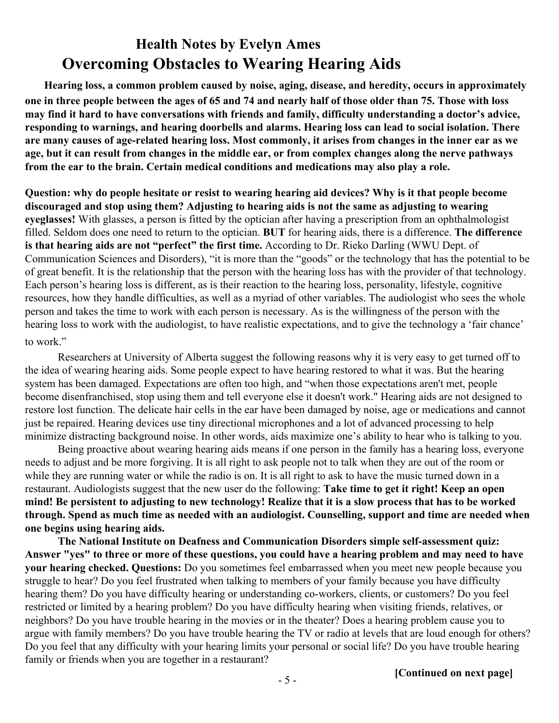# **Health Notes by Evelyn Ames Overcoming Obstacles to Wearing Hearing Aids**

**Hearing loss, a common problem caused by noise, aging, disease, and heredity, occurs in approximately one in three people between the ages of 65 and 74 and nearly half of those older than 75. Those with loss may find it hard to have conversations with friends and family, difficulty understanding a doctor's advice, responding to warnings, and hearing doorbells and alarms. Hearing loss can lead to social isolation. There are many causes of age-related hearing loss. Most commonly, it arises from changes in the inner ear as we age, but it can result from changes in the middle ear, or from complex changes along the nerve pathways from the ear to the brain. Certain medical conditions and medications may also play a role.** 

**Question: why do people hesitate or resist to wearing hearing aid devices? Why is it that people become discouraged and stop using them? Adjusting to hearing aids is not the same as adjusting to wearing eyeglasses!** With glasses, a person is fitted by the optician after having a prescription from an ophthalmologist filled. Seldom does one need to return to the optician. **BUT** for hearing aids, there is a difference. **The difference is that hearing aids are not "perfect" the first time.** According to Dr. Rieko Darling (WWU Dept. of Communication Sciences and Disorders), "it is more than the "goods" or the technology that has the potential to be of great benefit. It is the relationship that the person with the hearing loss has with the provider of that technology. Each person's hearing loss is different, as is their reaction to the hearing loss, personality, lifestyle, cognitive resources, how they handle difficulties, as well as a myriad of other variables. The audiologist who sees the whole person and takes the time to work with each person is necessary. As is the willingness of the person with the hearing loss to work with the audiologist, to have realistic expectations, and to give the technology a 'fair chance' to work."

Researchers at University of Alberta suggest the following reasons why it is very easy to get turned off to the idea of wearing hearing aids. Some people expect to have hearing restored to what it was. But the hearing system has been damaged. Expectations are often too high, and "when those expectations aren't met, people become disenfranchised, stop using them and tell everyone else it doesn't work." Hearing aids are not designed to restore lost function. The delicate hair cells in the ear have been damaged by noise, age or medications and cannot just be repaired. Hearing devices use tiny directional microphones and a lot of advanced processing to help minimize distracting background noise. In other words, aids maximize one's ability to hear who is talking to you.

Being proactive about wearing hearing aids means if one person in the family has a hearing loss, everyone needs to adjust and be more forgiving. It is all right to ask people not to talk when they are out of the room or while they are running water or while the radio is on. It is all right to ask to have the music turned down in a restaurant. Audiologists suggest that the new user do the following: **Take time to get it right! Keep an open mind! Be persistent to adjusting to new technology! Realize that it is a slow process that has to be worked through. Spend as much time as needed with an audiologist. Counselling, support and time are needed when one begins using hearing aids.**

**The National Institute on Deafness and Communication Disorders simple self-assessment quiz: Answer "yes" to three or more of these questions, you could have a hearing problem and may need to have your hearing checked. Questions:** Do you sometimes feel embarrassed when you meet new people because you struggle to hear? Do you feel frustrated when talking to members of your family because you have difficulty hearing them? Do you have difficulty hearing or understanding co-workers, clients, or customers? Do you feel restricted or limited by a hearing problem? Do you have difficulty hearing when visiting friends, relatives, or neighbors? Do you have trouble hearing in the movies or in the theater? Does a hearing problem cause you to argue with family members? Do you have trouble hearing the TV or radio at levels that are loud enough for others? Do you feel that any difficulty with your hearing limits your personal or social life? Do you have trouble hearing family or friends when you are together in a restaurant?

**[Continued on next page]**